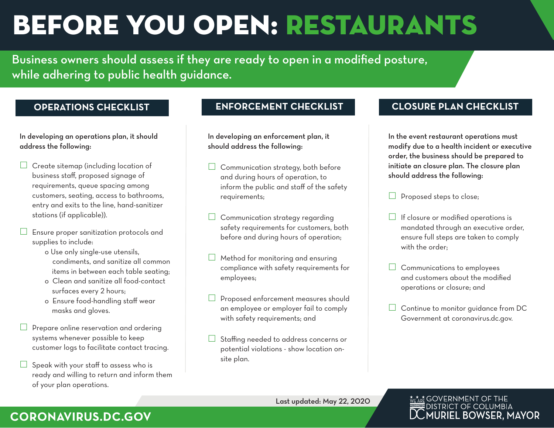# BEFORE YOU OPEN: RESTAURANTS

Business owners should assess if they are ready to open in a modified posture, while adhering to public health guidance.

## **OPERATIONS CHECKLIST**

In developing an operations plan, it should address the following:

- $\Box$  Create sitemap (including location of business staff, proposed signage of requirements, queue spacing among customers, seating, access to bathrooms, entry and exits to the line, hand-sanitizer stations (if applicable)).
- $\Box$  Ensure proper sanitization protocols and supplies to include:
	- o Use only single-use utensils, condiments, and sanitize all common items in between each table seating;
	- o Clean and sanitize all food-contact surfaces every 2 hours;
	- o Ensure food-handling staff wear masks and gloves.
- $\Box$  Prepare online reservation and ordering systems whenever possible to keep customer logs to facilitate contact tracing.
- Speak with your staff to assess who is ready and willing to return and inform them of your plan operations.

In developing an enforcement plan, it should address the following:

- $\Box$  Communication strategy, both before and during hours of operation, to inform the public and staff of the safety requirements;
- $\Box$  Communication strategy regarding safety requirements for customers, both before and during hours of operation;
- $\Box$  Method for monitoring and ensuring compliance with safety requirements for employees;
- Proposed enforcement measures should an employee or employer fail to comply with safety requirements; and
- Staffing needed to address concerns or potential violations - show location onsite plan.

## **ENFORCEMENT CHECKLIST CLOSURE PLAN CHECKLIST**

In the event restaurant operations must modify due to a health incident or executive order, the business should be prepared to initiate an closure plan. The closure plan should address the following:

- $\Box$  Proposed steps to close;
- $\Box$  If closure or modified operations is mandated through an executive order, ensure full steps are taken to comply with the order;
- $\Box$  Communications to employees and customers about the modified operations or closure; and
- $\Box$  Continue to monitor guidance from DC Government at coronavirus.dc.gov.

### **MEARE GOVERNMENT OF THE** DISTRICT OF COLUMBIA **LMURIEL BOWSER, MAYOR**

## **CORONAVIRUS.DC.GOV**